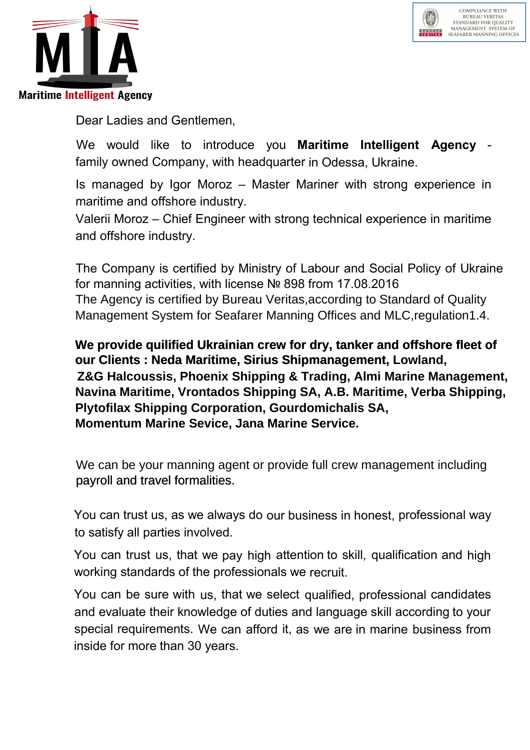



Dear Ladies and Gentlemen,

We would like to introduce you Maritime Intelligent Agency family owned Company, with headquarter in Odessa, Ukraine.

Is managed by Igor Moroz – Master Mariner with strong experience in maritime and offshore industry.

Valerii Moroz – Chief Engineer with strong technical experience in maritime and offshore industry.

The Company is certified by Ministry of Labour and Social Policy of Ukraine for manning activities, with license № 898 from 17.08.2016 The Agency is certified by Bureau Veritas,according to Standard of Quality Management System for Seafarer Manning Offices and MLC,regulation1.4.

 **Navina Maritime, Vrontados Shipping SA, A.B. Maritime, Verba Shipping, We provide quilified Ukrainian crew for dry, tanker and offshore fleet of our Clients : Neda Maritime, Sirius Shipmanagement, Lowland, Z&G Halcoussis, Phoenix Shipping & Trading, Almi Marine Management, Plytofilax Shipping Corporation, Gourdomichalis SA, Momentum Marine Sevice, Jana Marine Service.**

payroll and travel formalities. We can be your manning agent or provide full crew management including

You can trust us, as we always do our business in honest, professional way to satisfy all parties involved.

You can trust us, that we pay high attention to skill, qualification and high working standards of the professionals we recruit.

You can be sure with us, that we select qualified, professional candidates and evaluate their knowledge of duties and language skill according to your special requirements. We can afford it, as we are in marine business from inside for more than 30 years.